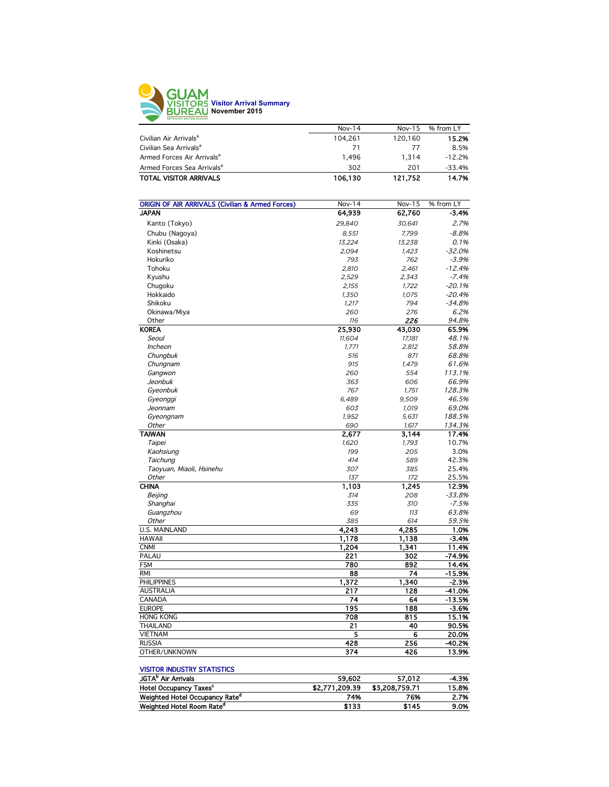

|                                        | $Nov-14$ | $Nov-15$ | % from LY |
|----------------------------------------|----------|----------|-----------|
| Civilian Air Arrivals <sup>a</sup>     | 104.261  | 120.160  | 15.2%     |
| Civilian Sea Arrivals <sup>a</sup>     | 71       | 77       | 8.5%      |
| Armed Forces Air Arrivals <sup>a</sup> | 1.496    | 1.314    | $-12.2%$  |
| Armed Forces Sea Arrivals <sup>a</sup> | 302      | 201      | $-33.4%$  |
| <b>TOTAL VISITOR ARRIVALS</b>          | 106.130  | 121.752  | 14.7%     |
|                                        |          |          |           |

| <b>ORIGIN OF AIR ARRIVALS (Civilian &amp; Armed Forces)</b> | <b>Nov-14</b> | <b>Nov-15</b> | % from LY |
|-------------------------------------------------------------|---------------|---------------|-----------|
| <b>JAPAN</b>                                                | 64,939        | 62,760        | -3.4%     |
| Kanto (Tokyo)                                               | 29,840        | 30,641        | 2.7%      |
| Chubu (Nagoya)                                              | 8,551         | 7,799         | $-8.8%$   |
| Kinki (Osaka)                                               | 13,224        | 13,238        | 0.1%      |
| Koshinetsu                                                  | 2,094         | 1.423         | $-32.0%$  |
| Hokuriko                                                    | 793           | 762           | $-3.9%$   |
| Tohoku                                                      | 2,810         | 2,461         | $-12.4%$  |
| Kyushu                                                      | 2,529         | 2,343         | $-7.4%$   |
| Chugoku                                                     | 2,155         | 1,722         | $-20.1%$  |
| Hokkaido                                                    | 1,350         | 1,075         | $-20.4%$  |
| Shikoku                                                     | 1,217         | 794           | $-34.8%$  |
| Okinawa/Miya                                                | 260           | 276           | 6.2%      |
| Other                                                       | 116           | 226           | 94.8%     |
| <b>KOREA</b>                                                | 25,930        | 43,030        | 65.9%     |
| Seoul                                                       | 11,604        | 17,181        | 48.1%     |
| <b>Incheon</b>                                              | 1,771         | 2,812         | 58.8%     |
| Chungbuk                                                    | 516           | 871           | 68.8%     |
| Chungnam                                                    | 915           | 1,479         | 61.6%     |
| Gangwon                                                     | 260           | 554           | 113.1%    |
| Jeonbuk                                                     | 363           | 606           | 66.9%     |
| Gyeonbuk                                                    | 767           | 1,751         | 128.3%    |
| Gyeonggi                                                    | 6,489         | 9,509         | 46.5%     |
| Jeonnam                                                     | 603           | 1,019         | 69.0%     |
| Gyeongnam                                                   | 1,952         | 5,631         | 188.5%    |
| Other                                                       | 690           | 1,617         | 134.3%    |
| <b>TAIWAN</b>                                               | 2,677         | 3,144         | 17.4%     |
| Taipei                                                      | 1,620         | 1,793         | 10.7%     |
| Kaohsiung                                                   | 199           | 205           | 3.0%      |
| Taichung                                                    | 414           | 589           | 42.3%     |
| Taoyuan, Miaoli, Hsinehu                                    | 307           | 385           | 25.4%     |
| <b>Other</b>                                                | 137           | 172           | 25.5%     |
| <b>CHINA</b>                                                | 1,103         | 1,245         | 12.9%     |
| Beijing                                                     | 314           | 208           | $-33.8%$  |
| Shanghai                                                    | 335           | 310           | $-7.5%$   |
| Guangzhou                                                   | 69            | 113           | 63.8%     |
| <b>Other</b>                                                | 385           | 614           | 59.5%     |
| <b>U.S. MAINLAND</b>                                        | 4,243         | 4,285         | 1.0%      |
| <b>HAWAII</b>                                               | 1,178         | 1,138         | $-3.4%$   |
| <b>CNMI</b>                                                 | 1,204         | 1,341         | 11.4%     |
| PALAU                                                       | 221           | 302           | -74.9%    |
| <b>FSM</b>                                                  | 780           | 892           | 14.4%     |
| <b>RMI</b>                                                  | 88            | 74            | $-15.9%$  |
| <b>PHILIPPINES</b>                                          | 1,372         | 1,340         | $-2.3%$   |
| <b>AUSTRALIA</b>                                            | 217           | 128           | -41.0%    |
| CANADA                                                      | 74            | 64            | $-13.5%$  |
| <b>EUROPE</b>                                               | 195           | 188           | $-3.6%$   |
| <b>HONG KONG</b>                                            | 708           | 815           | 15.1%     |
| <b>THAILAND</b>                                             | 21            | 40            | 90.5%     |
| <b>VIETNAM</b>                                              | 5             | 6             | 20.0%     |
| <b>RUSSIA</b>                                               | 428           | 256           | $-40.2%$  |
| OTHER/UNKNOWN                                               | 374           | 426           | 13.9%     |
|                                                             |               |               |           |

| 59.602         | 57.012         | $-4.3%$ |
|----------------|----------------|---------|
| \$2,771,209.39 | \$3,208,759,71 | 15.8%   |
| 74%            | 76%            | 2.7%    |
| \$133          | \$145          | 9.0%    |
|                |                |         |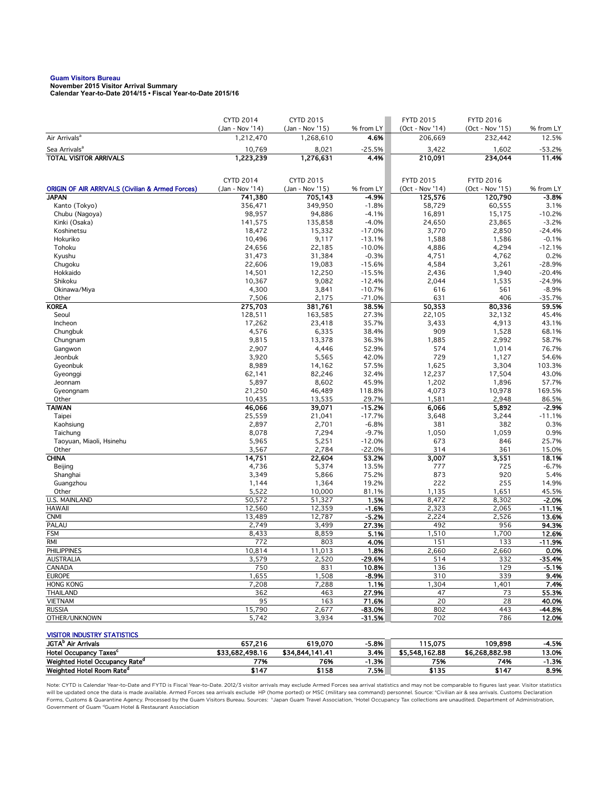# **Guam Visitors Bureau November 2015 Visitor Arrival Summary**

**Calendar Year-to-Date 2014/15 • Fiscal Year-to-Date 2015/16** 

|                                                                      | <b>CYTD 2014</b>             | <b>CYTD 2015</b>             |                   | <b>FYTD 2015</b>           | <b>FYTD 2016</b>           |                    |
|----------------------------------------------------------------------|------------------------------|------------------------------|-------------------|----------------------------|----------------------------|--------------------|
| Air Arrivals <sup>a</sup>                                            | (Jan - Nov '14)<br>1,212,470 | (Jan - Nov '15)<br>1,268,610 | % from LY<br>4.6% | (Oct - Nov '14)<br>206,669 | (Oct - Nov '15)<br>232,442 | % from LY<br>12.5% |
|                                                                      |                              |                              |                   |                            |                            |                    |
| Sea Arrivals <sup>a</sup><br><b>TOTAL VISITOR ARRIVALS</b>           | 10,769<br>1,223,239          | 8,021<br>1,276,631           | $-25.5%$<br>4.4%  | 3,422<br>210,091           | 1,602<br>234,044           | $-53.2%$<br>11.4%  |
|                                                                      |                              |                              |                   |                            |                            |                    |
|                                                                      | <b>CYTD 2014</b>             | <b>CYTD 2015</b>             |                   | <b>FYTD 2015</b>           | <b>FYTD 2016</b>           |                    |
| <b>ORIGIN OF AIR ARRIVALS (Civilian &amp; Armed Forces)</b>          | (Jan - Nov '14)              | (Jan - Nov '15)              | % from LY         | (Oct - Nov '14)            | (Oct - Nov '15)            | % from LY          |
| <b>JAPAN</b>                                                         | 741,380                      | 705,143                      | -4.9%             | 125,576                    | 120,790                    | $-3.8%$            |
| Kanto (Tokyo)                                                        | 356,471                      | 349,950                      | $-1.8%$           | 58,729                     | 60,555                     | 3.1%               |
| Chubu (Nagoya)                                                       | 98,957                       | 94,886                       | $-4.1%$           | 16,891                     | 15,175                     | $-10.2%$           |
| Kinki (Osaka)                                                        | 141,575                      | 135,858                      | $-4.0%$           | 24,650                     | 23,865                     | $-3.2%$            |
| Koshinetsu                                                           | 18,472                       | 15,332                       | $-17.0%$          | 3,770                      | 2,850                      | $-24.4%$           |
| Hokuriko                                                             | 10,496                       | 9,117                        | $-13.1%$          | 1,588                      | 1,586                      | $-0.1%$            |
| Tohoku                                                               | 24,656                       | 22,185                       | $-10.0%$          | 4,886                      | 4,294                      | $-12.1%$           |
| Kyushu                                                               | 31,473                       | 31,384                       | $-0.3%$           | 4,751                      | 4,762                      | 0.2%               |
| Chugoku                                                              | 22,606                       | 19,083                       | $-15.6%$          | 4,584                      | 3,261                      | $-28.9%$           |
| Hokkaido                                                             | 14,501                       | 12,250                       | $-15.5%$          | 2,436                      | 1,940                      | $-20.4%$           |
| Shikoku                                                              | 10,367                       | 9,082                        | $-12.4%$          | 2,044                      | 1,535                      | $-24.9%$           |
| Okinawa/Miya                                                         | 4,300                        | 3,841                        | $-10.7%$          | 616                        | 561                        | $-8.9%$            |
| Other                                                                | 7,506                        | 2,175                        | $-71.0%$          | 631                        | 406                        | $-35.7%$           |
| <b>KOREA</b>                                                         | 275,703                      | 381,761                      | 38.5%             | 50,353                     | 80,336                     | 59.5%              |
| Seoul                                                                | 128,511                      | 163,585                      | 27.3%             | 22,105                     | 32,132                     | 45.4%              |
| Incheon                                                              | 17,262                       | 23,418                       | 35.7%             | 3,433                      | 4,913                      | 43.1%              |
| Chungbuk                                                             | 4,576                        | 6,335                        | 38.4%             | 909                        | 1,528                      | 68.1%              |
| Chungnam                                                             | 9,815                        | 13,378                       | 36.3%             | 1,885                      | 2,992                      | 58.7%              |
| Gangwon                                                              | 2,907                        | 4,446                        | 52.9%             | 574                        | 1,014                      | 76.7%              |
| Jeonbuk                                                              | 3,920                        | 5,565                        | 42.0%             | 729                        | 1,127                      | 54.6%              |
| Gyeonbuk                                                             | 8,989                        | 14,162                       | 57.5%             | 1,625                      | 3,304                      | 103.3%             |
| Gyeonggi                                                             | 62,141                       | 82,246                       | 32.4%             | 12,237                     | 17,504                     | 43.0%              |
| Jeonnam                                                              | 5,897                        | 8,602                        | 45.9%             | 1,202                      | 1,896                      | 57.7%              |
| Gyeongnam                                                            | 21,250                       | 46,489                       | 118.8%            | 4,073                      | 10,978                     | 169.5%             |
| Other                                                                | 10,435                       | 13,535                       | 29.7%             | 1,581                      | 2,948                      | 86.5%              |
| <b>TAIWAN</b>                                                        | 46,066                       | 39,071                       | $-15.2%$          | 6,066                      | 5,892                      | $-2.9%$            |
| Taipei                                                               | 25,559                       | 21,041                       | $-17.7%$          | 3,648                      | 3,244                      | $-11.1%$           |
| Kaohsiung                                                            | 2,897                        | 2,701                        | $-6.8%$           | 381                        | 382                        | 0.3%               |
| Taichung                                                             | 8,078                        | 7,294                        | $-9.7%$           | 1,050                      | 1,059                      | 0.9%               |
| Taoyuan, Miaoli, Hsinehu                                             | 5,965                        | 5,251                        | $-12.0%$          | 673                        | 846                        | 25.7%              |
| Other                                                                | 3,567                        | 2,784                        | $-22.0%$          | 314                        | 361                        | 15.0%              |
| <b>CHINA</b>                                                         | 14,751                       | 22,604                       | 53.2%             | 3,007                      | 3,551                      | 18.1%              |
| Beijing                                                              | 4,736                        | 5,374                        | 13.5%             | 777                        | 725                        | $-6.7%$            |
| Shanghai                                                             | 3,349                        | 5,866                        | 75.2%             | 873                        | 920                        | 5.4%               |
| Guangzhou                                                            | 1,144                        | 1,364                        | 19.2%             | 222                        | 255                        | 14.9%              |
| Other                                                                | 5,522                        | 10,000                       | 81.1%             | 1,135                      | 1,651                      | 45.5%              |
| <b>U.S. MAINLAND</b>                                                 | 50,572                       | 51,327                       | 1.5%              | 8,472                      | 8,302                      | $-2.0%$            |
| <b>HAWAII</b>                                                        | 12,560                       | 12,359                       | $-1.6%$           | 2,323                      | 2,065                      | $-11.1%$           |
| <b>CNMI</b>                                                          | 13,489                       | 12,787                       | $-5.2%$           | 2,224                      | 2,526                      | 13.6%              |
| PALAU                                                                | 2,749                        | 3,499                        | 27.3%             | 492                        | 956                        | 94.3%              |
| <b>FSM</b>                                                           | 8,433                        | 8,859                        | 5.1%              | 1,510                      | 1,700                      | 12.6%              |
| <b>RMI</b>                                                           | 772                          | 803                          | 4.0%              | 151                        | 133                        | $-11.9%$           |
| <b>PHILIPPINES</b>                                                   | 10,814                       | 11,013                       | 1.8%              | 2,660                      | 2,660                      | 0.0%               |
| AUSTRALIA                                                            | 3,579                        | 2,520                        | -29.6%            | 514                        | 332                        | -35.4%             |
| CANADA                                                               | 750                          | 831                          | 10.8%             | 136                        | 129                        | $-5.1%$            |
| <b>EUROPE</b>                                                        | 1,655                        | 1,508                        | $-8.9%$           | 310                        | 339                        | 9.4%               |
| <b>HONG KONG</b>                                                     | 7,208                        | 7,288                        | 1.1%              | 1,304                      | 1,401                      | 7.4%               |
| <b>THAILAND</b>                                                      | 362                          | 463                          | 27.9%             | 47                         | 73                         | 55.3%              |
| <b>VIETNAM</b>                                                       | 95                           | 163                          | 71.6%             | 20                         | 28                         | 40.0%              |
| <b>RUSSIA</b>                                                        | 15,790                       | 2,677                        | $-83.0%$          | 802                        | 443                        | -44.8%             |
| OTHER/UNKNOWN                                                        | 5,742                        | 3,934                        | $-31.5%$          | 702                        | 786                        | 12.0%              |
|                                                                      |                              |                              |                   |                            |                            |                    |
| <b>VISITOR INDUSTRY STATISTICS</b><br>JGTA <sup>b</sup> Air Arrivals | 657,216                      |                              | $-5.8%$           |                            |                            |                    |
| Hotel Occupancy Taxes <sup>c</sup>                                   | \$33,682,498.16              | 619,070<br>\$34,844,141.41   | 3.4%              | 115,075<br>\$5,548,162.88  | 109,898<br>\$6,268,882.98  | -4.5%<br>13.0%     |
| Weighted Hotel Occupancy Rate <sup>d</sup>                           | 77%                          | 76%                          | $-1.3%$           | 75%                        | 74%                        | $-1.3%$            |
|                                                                      |                              |                              |                   |                            |                            |                    |

Weighted Hotel Room Rate<sup>d</sup> \$147 \$158 7.5% \$135 \$147 8.9% Note: CYTD is Calendar Year-to-Date and FYTD is Fiscal Year-to-Date. 2012/3 visitor arrivals may exclude Armed Forces sea arrival statistics and may not be comparable to figures last year. Visitor statistics will be updated once the data is made available. Armed Forces sea arrivals exclude HP (home ported) or MSC (military sea command) personnel. Source: °Civilian air & sea arrivals. Customs Declaration<br>Forms, Customs & Quaran

Government of Guam dGuam Hotel & Restaurant Association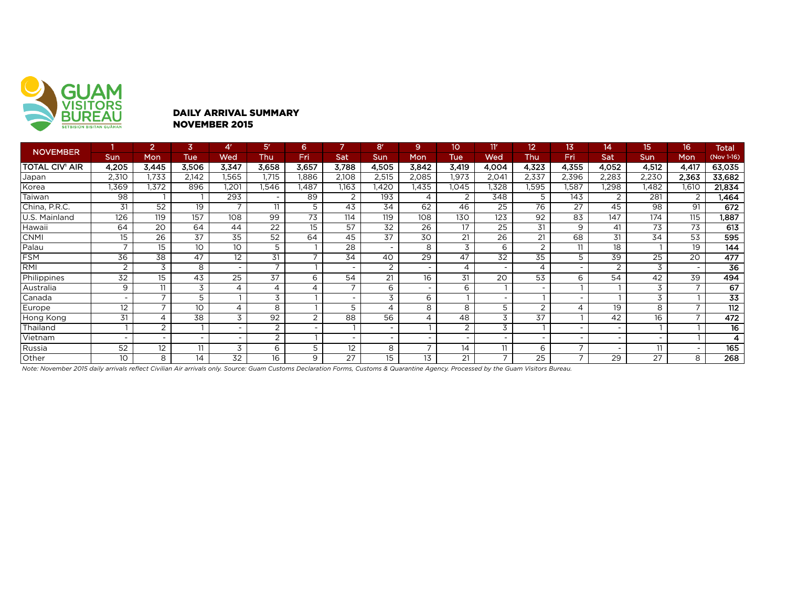

#### DAILY ARRIVAL SUMMARY NOVEMBER 2015

| <b>NOVEMBER</b>       |                          | $\overline{2}$  | $\overline{\mathbf{3}}$ | 4'                       | <b>5'</b>                | 6.                       |                          | 8 <sup>r</sup>           | 9.                       | 10    | 11'                      | 12              | 13                       | 14.                      | 15              | 16                       | <b>Total</b>    |
|-----------------------|--------------------------|-----------------|-------------------------|--------------------------|--------------------------|--------------------------|--------------------------|--------------------------|--------------------------|-------|--------------------------|-----------------|--------------------------|--------------------------|-----------------|--------------------------|-----------------|
|                       | <b>Sun</b>               | Mon             | <b>Tue</b>              | Wed                      | Thu                      | Fri                      | Sat                      | Sun                      | Mon                      | Tue   | Wed                      | Thu             | Fri                      | Sat                      | Sun             | Mon                      | (Nov 1-16)      |
| <b>TOTAL CIV' AIR</b> | 4,205                    | 3,445           | 3,506                   | 3,347                    | 3,658                    | 3,657                    | 3,788                    | 4,505                    | 3,842                    | 3,419 | 4,004                    | 4,323           | 4,355                    | 4,052                    | 4,512           | 4,417                    | 63,035          |
| Japan                 | 2,310                    | 1,733           | 2,142                   | 1,565                    | 1,715                    | 1,886                    | 2,108                    | 2,515                    | 2,085                    | 1,973 | 2,041                    | 2,337           | 2,396                    | 2,283                    | 2,230           | 2.363                    | 33,682          |
| Korea                 | 1,369                    | 1,372           | 896                     | 1,201                    | 1,546                    | ,487                     | 1,163                    | ,420                     | l,435                    | 1.045 | 1,328                    | .595            | .587                     | .298                     | 1.482           | 1.610                    | 21,834          |
| Taiwan                | 98                       |                 |                         | 293                      | $\overline{\phantom{a}}$ | 89                       | 2                        | 193                      | 4                        | 2     | 348                      | 5               | 143                      | 2                        | 281             | 2                        | 1,464           |
| China, P.R.C.         | 31                       | 52              | 19                      |                          | 11                       | 5                        | 43                       | 34                       | 62                       | 46    | 25                       | $\overline{76}$ | 27                       | 45                       | 98              | 91                       | 672             |
| U.S. Mainland         | 126                      | 119             | 157                     | 108                      | 99                       | $\overline{73}$          | 114                      | 119                      | 108                      | 130   | 123                      | $\overline{92}$ | 83                       | 147                      | 174             | 115                      | 1,887           |
| Hawaii)               | 64                       | $\overline{20}$ | 64                      | 44                       | $\overline{22}$          | 15                       | $\overline{57}$          | 32                       | $\overline{26}$          | 17    | $\overline{25}$          | 31              | 9                        | 41                       | 73              | $\overline{73}$          | 613             |
| <b>CNMI</b>           | 15                       | 26              | 37                      | 35                       | 52                       | 64                       | 45                       | 37                       | 30                       | 21    | 26                       | 21              | 68                       | 31                       | 34              | 53                       | 595             |
| Palau                 | $\overline{ }$           | 15              | 10                      | 10 <sup>°</sup>          | 5                        |                          | 28                       | $\overline{\phantom{a}}$ | 8                        | 3     | 6                        | 2               | 11                       | 18                       |                 | 19                       | 144             |
| <b>FSM</b>            | $\overline{36}$          | $\overline{38}$ | 47                      | 12                       | 31                       | $\overline{ }$           | 34                       | 40                       | 29                       | 47    | 32                       | $\overline{35}$ | 5                        | 39                       | $\overline{25}$ | 20                       | 477             |
| <b>RMI</b>            | 2                        | 3               | 8                       | $\overline{\phantom{0}}$ | $\overline{ }$           |                          | $\overline{\phantom{a}}$ | 2                        | $\overline{\phantom{0}}$ | 4     | $\overline{\phantom{a}}$ | 4               | $\overline{a}$           | 2                        | 3               |                          | $\overline{36}$ |
| Philippines           | $\overline{32}$          | 15              | 43                      | 25                       | 37                       | 6                        | 54                       | 21                       | 16                       | 31    | 20                       | 53              | 6                        | 54                       | 42              | 39                       | 494             |
| Australia             | 9                        | 11              | 3                       | 4                        | $\overline{A}$           | 4                        | $\overline{ }$           | 6                        |                          | 6     |                          |                 |                          |                          | 3               |                          | 67              |
| <b>Canada</b>         | $\overline{\phantom{0}}$ | $\overline{ }$  | 5                       |                          | 3                        |                          | $\overline{\phantom{a}}$ | 3                        | 6                        |       | $\overline{\phantom{0}}$ |                 | $\sim$                   |                          | 3               |                          | $\overline{33}$ |
| Europe                | 12                       | $\overline{ }$  | 10                      | 4                        | 8                        |                          | 5                        | $\overline{\mathcal{A}}$ | 8                        | 8     | 5                        | 2               | 4                        | 19                       | 8               | $\overline{\phantom{0}}$ | 112             |
| Hong Kong             | 31                       | 4               | 38                      | 3                        | 92                       | 2                        | 88                       | 56                       | $\overline{4}$           | 48    | 3                        | 37              |                          | 42                       | 16              | $\overline{ }$           | 472             |
| Thailand              |                          | 2               |                         |                          | $\overline{2}$           | $\overline{\phantom{a}}$ |                          | $\overline{\phantom{0}}$ |                          | 2     | 3                        |                 |                          |                          |                 |                          | $\overline{16}$ |
| Vietnam               | $\overline{\phantom{0}}$ |                 |                         |                          | $\overline{2}$           |                          | $\overline{\phantom{0}}$ | $\sim$                   | $\overline{\phantom{0}}$ |       | $\overline{\phantom{0}}$ |                 | $\overline{\phantom{0}}$ | $\sim$                   |                 |                          | 4               |
| Russia                | 52                       | 12              | 11                      | 3                        | 6                        | 5                        | 12                       | 8                        | $\overline{ }$           | 14    | 11                       | 6               | $\overline{ }$           | $\overline{\phantom{0}}$ | 11              | -                        | 165             |
| Other                 | 10                       | 8               | 14                      | 32                       | 16                       | 9                        | 27                       | 15                       | 13                       | 21    | $\overline{ }$           | 25              | $\overline{\phantom{0}}$ | 29                       | 27              | 8                        | 268             |

*Note: November 2015 daily arrivals reflect Civilian Air arrivals only. Source: Guam Customs Declaration Forms, Customs & Quarantine Agency. Processed by the Guam Visitors Bureau.*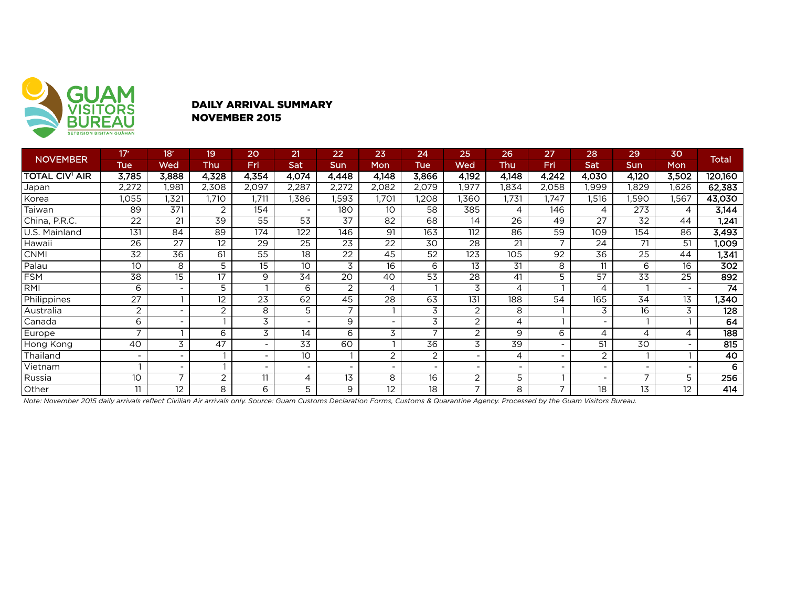

### DAILY ARRIVAL SUMMARY NOVEMBER 2015

| <b>NOVEMBER</b>       | 17 <sup>r</sup>          | 18 <sup>r</sup>          | 19    | 20                       | 21                       | 22                       | 23              | 24         | 25                       | 26                       | 27                       | 28                           | 29                       | 30                       | <b>Total</b>     |
|-----------------------|--------------------------|--------------------------|-------|--------------------------|--------------------------|--------------------------|-----------------|------------|--------------------------|--------------------------|--------------------------|------------------------------|--------------------------|--------------------------|------------------|
|                       | Tue                      | Wed                      | Thu   | Fri                      | Sat                      | Sun                      | Mon             | <b>Tue</b> | Wed                      | Thu                      | Fri                      | Sat                          | <b>Sun</b>               | Mon                      |                  |
| <b>TOTAL CIV' AIR</b> | 3,785                    | 3,888                    | 4,328 | 4,354                    | 4,074                    | 4,448                    | 4,148           | 3,866      | 4,192                    | 4,148                    | 4,242                    | 4,030                        | 4,120                    | 3,502                    | 120,160          |
| Japan                 | 2,272                    | 1,981                    | 2,308 | 2,097                    | 2,287                    | 2,272                    | 2,082           | 2,079      | 1,977                    | .834                     | 2,058                    | 1,999                        | 1,829                    | .626                     | 62,383           |
| Korea                 | 1,055                    | 1,321                    | 1,710 | 1.711                    | 1,386                    | .593                     | 1,701           | ,208       | .360                     | 1,731                    | 1.747                    | 1,516                        | .590                     | .567                     | 43,030           |
| Taiwan                | 89                       | 371                      | 2     | 154                      |                          | 180                      | 10 <sup>°</sup> | 58         | 385                      | 4                        | 146                      | 4                            | 273                      | 4                        | 3,144            |
| China, P.R.C.         | 22                       | 21                       | 39    | 55                       | 53                       | 37                       | 82              | 68         | 14                       | 26                       | 49                       | 27                           | 32                       | 44                       | 1,241            |
| U.S. Mainland         | 131                      | 84                       | 89    | 174                      | 122                      | 146                      | 91              | 163        | 112                      | 86                       | 59                       | 109                          | 154                      | 86                       | 3,493            |
| Hawaii                | 26                       | 27                       | 12    | 29                       | 25                       | 23                       | 22              | 30         | 28                       | 21                       | ⇁                        | 24                           | 71                       | 51                       | ,009             |
| <b>CNMI</b>           | 32                       | 36                       | 61    | 55                       | 18                       | $\overline{22}$          | 45              | 52         | 123                      | 105                      | 92                       | 36                           | 25                       | 44                       | 1,341            |
| Palau                 | 10                       | 8                        | 5     | 15                       | 10                       | 3                        | 16              | 6          | 13                       | 31                       | 8                        | 11                           | 6                        | 16                       | 302              |
| <b>FSM</b>            | 38                       | 15                       | 17    | 9                        | 34                       | 20                       | 40              | 53         | 28                       | 41                       | 5                        | 57                           | 33                       | 25                       | 892              |
| RMI                   | 6                        | $\overline{\phantom{a}}$ | 5     |                          | 6                        | 2                        | 4               |            | 3                        | 4                        |                          | 4                            |                          |                          | 74               |
| Philippines           | 27                       |                          | 12    | 23                       | 62                       | 45                       | 28              | 63         | 131                      | 188                      | 54                       | 165                          | 34                       | 13                       | 1,340            |
| Australia             | 2                        | $\overline{\phantom{a}}$ | 2     | 8                        | 5                        |                          |                 | 3          | $\overline{2}$           | 8                        |                          | 3                            | 16                       | 3                        | $\overline{128}$ |
| Canada                | 6                        | -                        |       | 3                        | $\overline{\phantom{a}}$ | 9                        | $\sim$          | 3          | $\overline{2}$           | 4                        |                          | $\qquad \qquad \blacksquare$ |                          |                          | 64               |
| Europe                | $\overline{\phantom{a}}$ |                          | 6     | 3                        | 14                       | 6                        | 3               | ⇁          | $\overline{2}$           | 9                        | 6                        | 4                            | 4                        | 4                        | $\overline{188}$ |
| Hong Kong             | 40                       | 3                        | 47    |                          | 33                       | 60                       |                 | 36         | 3                        | 39                       |                          | 51                           | 30                       |                          | 815              |
| Thailand              | $\overline{\phantom{a}}$ | $\overline{\phantom{0}}$ |       |                          | 10                       |                          | 2               | 2          |                          | 4                        |                          | 2                            |                          |                          | 40               |
| Vietnam               |                          | $\overline{\phantom{a}}$ |       | $\overline{\phantom{a}}$ | $\overline{\phantom{a}}$ | $\overline{\phantom{0}}$ | $\sim$          |            |                          | $\overline{\phantom{a}}$ |                          | $\overline{\phantom{0}}$     | $\overline{\phantom{a}}$ | $\overline{\phantom{a}}$ | 6                |
| Russia                | 10                       | $\overline{\phantom{a}}$ | 2     | 11                       | 4                        | 13                       | 8               | 16         | 2                        | 5                        |                          | -                            | ⇁                        | 5                        | 256              |
| Other                 | 11                       | 12                       | 8     | 6                        | 5                        | 9                        | 12              | 18         | $\overline{\phantom{0}}$ | 8                        | $\overline{\phantom{a}}$ | 18                           | 13                       | 12                       | 414              |

*Note: November 2015 daily arrivals reflect Civilian Air arrivals only. Source: Guam Customs Declaration Forms, Customs & Quarantine Agency. Processed by the Guam Visitors Bureau.*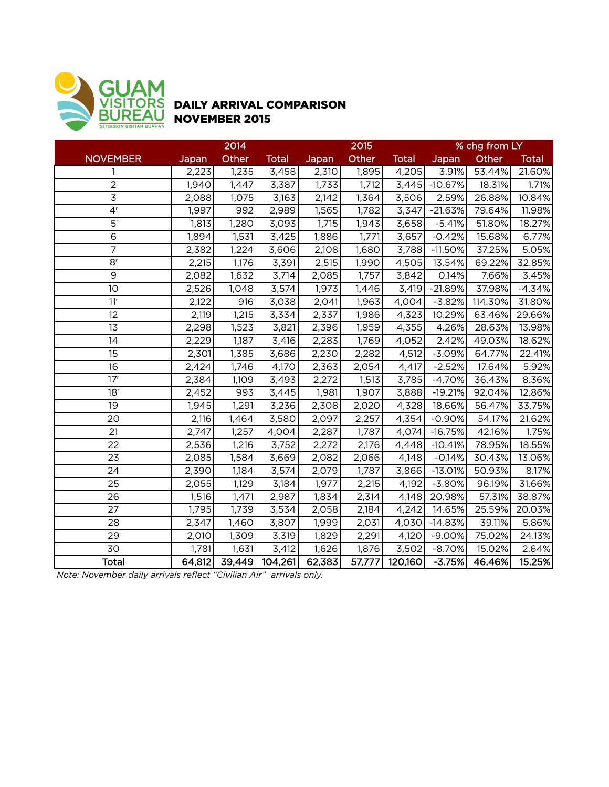

## DAILY ARRIVAL COMPARISON NOVEMBER 2015

|                 | 2014   |        |              |        | 2015   |              | % chg from LY |         |              |  |
|-----------------|--------|--------|--------------|--------|--------|--------------|---------------|---------|--------------|--|
| <b>NOVEMBER</b> | Japan  | Other  | <b>Total</b> | Japan  | Other  | <b>Total</b> | Japan         | Other   | <b>Total</b> |  |
| 1               | 2,223  | 1,235  | 3,458        | 2,310  | 1,895  | 4,205        | 3.91%         | 53.44%  | 21.60%       |  |
| $\overline{2}$  | 1,940  | 1,447  | 3,387        | 1,733  | 1,712  | 3,445        | $-10.67%$     | 18.31%  | 1.71%        |  |
| $\overline{3}$  | 2,088  | 1,075  | 3,163        | 2,142  | 1,364  | 3,506        | 2.59%         | 26.88%  | 10.84%       |  |
| 4 <sup>r</sup>  | 1,997  | 992    | 2,989        | 1,565  | 1,782  | 3,347        | $-21.63%$     | 79.64%  | 11.98%       |  |
| 5 <sup>r</sup>  | 1,813  | 1,280  | 3,093        | 1,715  | 1,943  | 3,658        | $-5.41%$      | 51.80%  | 18.27%       |  |
| 6               | 1,894  | 1,531  | 3,425        | 1,886  | 1,771  | 3,657        | $-0.42%$      | 15.68%  | 6.77%        |  |
| $\overline{7}$  | 2,382  | 1,224  | 3,606        | 2,108  | 1,680  | 3,788        | $-11.50%$     | 37.25%  | 5.05%        |  |
| 8 <sup>r</sup>  | 2,215  | 1,176  | 3,391        | 2,515  | 1,990  | 4,505        | 13.54%        | 69.22%  | 32.85%       |  |
| 9               | 2,082  | 1,632  | 3,714        | 2,085  | 1,757  | 3,842        | 0.14%         | 7.66%   | 3.45%        |  |
| 10              | 2,526  | 1,048  | 3,574        | 1,973  | 1,446  | 3,419        | $-21.89%$     | 37.98%  | $-4.34%$     |  |
| 11 <sup>r</sup> | 2,122  | 916    | 3,038        | 2,041  | 1,963  | 4,004        | $-3.82%$      | 114.30% | 31.80%       |  |
| 12              | 2,119  | 1,215  | 3,334        | 2,337  | 1,986  | 4,323        | 10.29%        | 63.46%  | 29.66%       |  |
| 13              | 2,298  | 1,523  | 3,821        | 2,396  | 1,959  | 4,355        | 4.26%         | 28.63%  | 13.98%       |  |
| $\overline{14}$ | 2,229  | 1,187  | 3,416        | 2,283  | 1,769  | 4,052        | 2.42%         | 49.03%  | 18.62%       |  |
| 15              | 2,301  | 1,385  | 3,686        | 2,230  | 2,282  | 4,512        | $-3.09%$      | 64.77%  | 22.41%       |  |
| 16              | 2,424  | 1,746  | 4,170        | 2,363  | 2,054  | 4,417        | $-2.52%$      | 17.64%  | 5.92%        |  |
| 17 <sup>r</sup> | 2,384  | 1,109  | 3,493        | 2,272  | 1,513  | 3,785        | $-4.70%$      | 36.43%  | 8.36%        |  |
| 18 <sup>r</sup> | 2,452  | 993    | 3,445        | 1,981  | 1,907  | 3,888        | $-19.21%$     | 92.04%  | 12.86%       |  |
| 19              | 1,945  | 1,291  | 3,236        | 2,308  | 2,020  | 4,328        | 18.66%        | 56.47%  | 33.75%       |  |
| 20              | 2,116  | 1,464  | 3,580        | 2,097  | 2,257  | 4,354        | $-0.90%$      | 54.17%  | 21.62%       |  |
| 21              | 2,747  | 1,257  | 4,004        | 2,287  | 1,787  | 4,074        | $-16.75%$     | 42.16%  | 1.75%        |  |
| 22              | 2,536  | 1,216  | 3,752        | 2,272  | 2,176  | 4,448        | $-10.41%$     | 78.95%  | 18.55%       |  |
| 23              | 2,085  | 1,584  | 3,669        | 2,082  | 2,066  | 4,148        | $-0.14%$      | 30.43%  | 13.06%       |  |
| 24              | 2,390  | 1,184  | 3,574        | 2,079  | 1,787  | 3,866        | $-13.01%$     | 50.93%  | 8.17%        |  |
| $\overline{25}$ | 2,055  | 1,129  | 3,184        | 1,977  | 2,215  | 4,192        | $-3.80%$      | 96.19%  | 31.66%       |  |
| 26              | 1,516  | 1,471  | 2,987        | 1,834  | 2,314  | 4,148        | 20.98%        | 57.31%  | 38.87%       |  |
| 27              | 1,795  | 1,739  | 3,534        | 2,058  | 2,184  | 4,242        | 14.65%        | 25.59%  | 20.03%       |  |
| 28              | 2,347  | 1,460  | 3,807        | 1,999  | 2,031  | 4,030        | $-14.83%$     | 39.11%  | 5.86%        |  |
| 29              | 2,010  | 1,309  | 3,319        | 1,829  | 2,291  | 4,120        | $-9.00%$      | 75.02%  | 24.13%       |  |
| 30              | 1,781  | 1,631  | 3,412        | 1,626  | 1,876  | 3,502        | $-8.70%$      | 15.02%  | 2.64%        |  |
| Total           | 64,812 | 39,449 | 104,261      | 62,383 | 57,777 | 120,160      | $-3.75%$      | 46.46%  | 15.25%       |  |

*Note: November daily arrivals reflect "Civilian Air" arrivals only.*